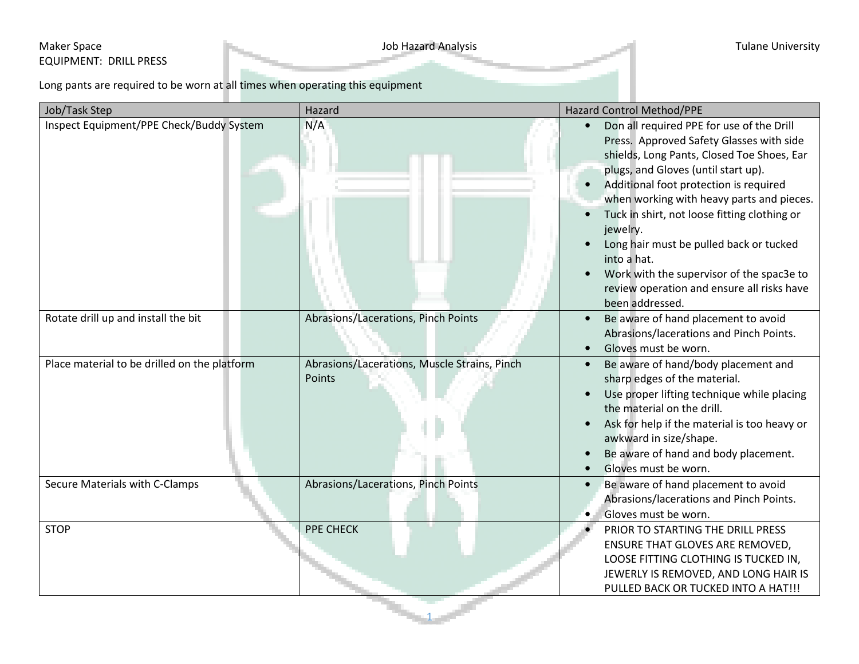## Maker Space **Maker Space** Tulane University EQUIPMENT: DRILL PRESS

Long pants are required to be worn at all times when operating this equipment

| Job/Task Step                                | Hazard                                                 | Hazard Control Method/PPE                                                                                                                                                                                                                                                                                                                                                                                                                                                                             |  |  |  |
|----------------------------------------------|--------------------------------------------------------|-------------------------------------------------------------------------------------------------------------------------------------------------------------------------------------------------------------------------------------------------------------------------------------------------------------------------------------------------------------------------------------------------------------------------------------------------------------------------------------------------------|--|--|--|
| Inspect Equipment/PPE Check/Buddy System     | N/A                                                    | Don all required PPE for use of the Drill<br>Press. Approved Safety Glasses with side<br>shields, Long Pants, Closed Toe Shoes, Ear<br>plugs, and Gloves (until start up).<br>Additional foot protection is required<br>when working with heavy parts and pieces.<br>Tuck in shirt, not loose fitting clothing or<br>jewelry.<br>Long hair must be pulled back or tucked<br>into a hat.<br>Work with the supervisor of the spac3e to<br>review operation and ensure all risks have<br>been addressed. |  |  |  |
| Rotate drill up and install the bit          | Abrasions/Lacerations, Pinch Points                    | Be aware of hand placement to avoid<br>$\bullet$<br>Abrasions/lacerations and Pinch Points.<br>Gloves must be worn.                                                                                                                                                                                                                                                                                                                                                                                   |  |  |  |
| Place material to be drilled on the platform | Abrasions/Lacerations, Muscle Strains, Pinch<br>Points | Be aware of hand/body placement and<br>$\bullet$<br>sharp edges of the material.<br>Use proper lifting technique while placing<br>the material on the drill.<br>Ask for help if the material is too heavy or<br>awkward in size/shape.<br>Be aware of hand and body placement.<br>Gloves must be worn.                                                                                                                                                                                                |  |  |  |
| Secure Materials with C-Clamps               | Abrasions/Lacerations, Pinch Points                    | Be aware of hand placement to avoid<br>Abrasions/lacerations and Pinch Points.<br>Gloves must be worn.<br>٠                                                                                                                                                                                                                                                                                                                                                                                           |  |  |  |
| <b>STOP</b>                                  | PPE CHECK                                              | PRIOR TO STARTING THE DRILL PRESS<br>ENSURE THAT GLOVES ARE REMOVED,<br>LOOSE FITTING CLOTHING IS TUCKED IN,<br>JEWERLY IS REMOVED, AND LONG HAIR IS<br>PULLED BACK OR TUCKED INTO A HAT!!!                                                                                                                                                                                                                                                                                                           |  |  |  |
|                                              |                                                        |                                                                                                                                                                                                                                                                                                                                                                                                                                                                                                       |  |  |  |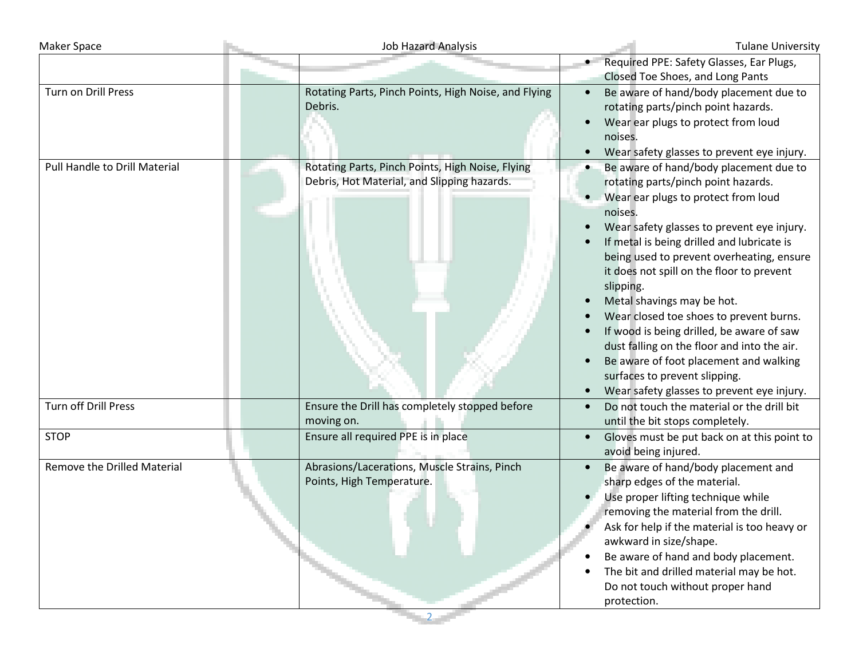| <b>Maker Space</b>                 | <b>Job Hazard Analysis</b>                                                                      | <b>Tulane University</b>                                                                                                                                                                                                                                                                                                                                                                                                                                                                                                                                                                                                           |
|------------------------------------|-------------------------------------------------------------------------------------------------|------------------------------------------------------------------------------------------------------------------------------------------------------------------------------------------------------------------------------------------------------------------------------------------------------------------------------------------------------------------------------------------------------------------------------------------------------------------------------------------------------------------------------------------------------------------------------------------------------------------------------------|
|                                    |                                                                                                 | Required PPE: Safety Glasses, Ear Plugs,<br>Closed Toe Shoes, and Long Pants                                                                                                                                                                                                                                                                                                                                                                                                                                                                                                                                                       |
| Turn on Drill Press                | Rotating Parts, Pinch Points, High Noise, and Flying<br>Debris.                                 | Be aware of hand/body placement due to<br>rotating parts/pinch point hazards.<br>Wear ear plugs to protect from loud<br>noises.<br>Wear safety glasses to prevent eye injury.                                                                                                                                                                                                                                                                                                                                                                                                                                                      |
| Pull Handle to Drill Material      | Rotating Parts, Pinch Points, High Noise, Flying<br>Debris, Hot Material, and Slipping hazards. | Be aware of hand/body placement due to<br>rotating parts/pinch point hazards.<br>• Wear ear plugs to protect from loud<br>noises.<br>Wear safety glasses to prevent eye injury.<br>If metal is being drilled and lubricate is<br>being used to prevent overheating, ensure<br>it does not spill on the floor to prevent<br>slipping.<br>Metal shavings may be hot.<br>Wear closed toe shoes to prevent burns.<br>If wood is being drilled, be aware of saw<br>dust falling on the floor and into the air.<br>Be aware of foot placement and walking<br>surfaces to prevent slipping.<br>Wear safety glasses to prevent eye injury. |
| <b>Turn off Drill Press</b>        | Ensure the Drill has completely stopped before<br>moving on.                                    | Do not touch the material or the drill bit<br>until the bit stops completely.                                                                                                                                                                                                                                                                                                                                                                                                                                                                                                                                                      |
| <b>STOP</b>                        | Ensure all required PPE is in place                                                             | Gloves must be put back on at this point to<br>$\bullet$<br>avoid being injured.                                                                                                                                                                                                                                                                                                                                                                                                                                                                                                                                                   |
| <b>Remove the Drilled Material</b> | Abrasions/Lacerations, Muscle Strains, Pinch<br>Points, High Temperature.                       | Be aware of hand/body placement and<br>sharp edges of the material.<br>Use proper lifting technique while<br>removing the material from the drill.<br>Ask for help if the material is too heavy or<br>awkward in size/shape.<br>Be aware of hand and body placement.<br>The bit and drilled material may be hot.<br>Do not touch without proper hand<br>protection.                                                                                                                                                                                                                                                                |

2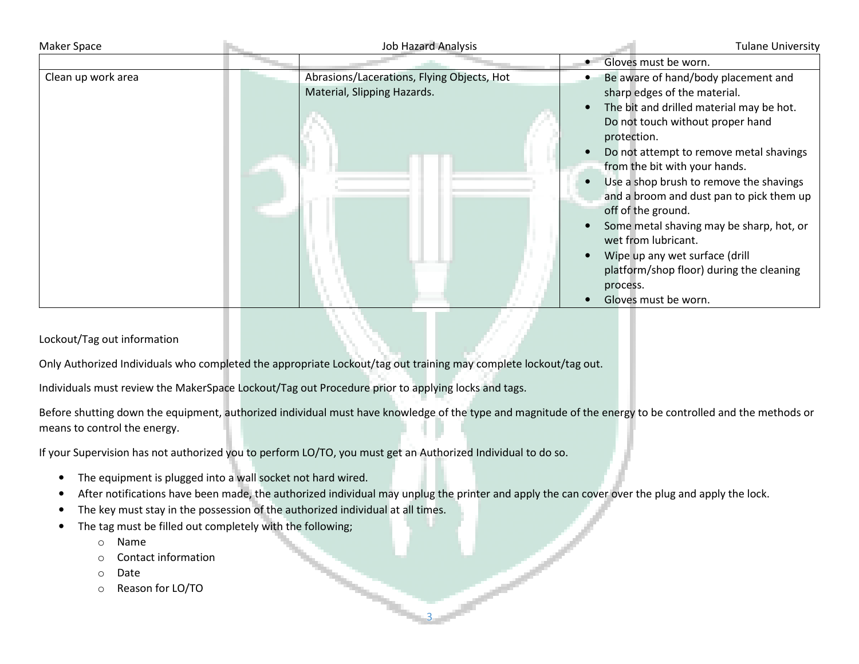| Maker Space        | <b>Job Hazard Analysis</b>                                                |                                                                                              | <b>Tulane University</b>                                                                                                                                                                                                                                                                                                                                                                                                                         |
|--------------------|---------------------------------------------------------------------------|----------------------------------------------------------------------------------------------|--------------------------------------------------------------------------------------------------------------------------------------------------------------------------------------------------------------------------------------------------------------------------------------------------------------------------------------------------------------------------------------------------------------------------------------------------|
|                    |                                                                           | Gloves must be worn.                                                                         |                                                                                                                                                                                                                                                                                                                                                                                                                                                  |
| Clean up work area | Abrasions/Lacerations, Flying Objects, Hot<br>Material, Slipping Hazards. | protection.<br>off of the ground.<br>wet from lubricant.<br>process.<br>Gloves must be worn. | Be aware of hand/body placement and<br>sharp edges of the material.<br>The bit and drilled material may be hot.<br>Do not touch without proper hand<br>Do not attempt to remove metal shavings<br>from the bit with your hands.<br>Use a shop brush to remove the shavings<br>and a broom and dust pan to pick them up<br>Some metal shaving may be sharp, hot, or<br>Wipe up any wet surface (drill<br>platform/shop floor) during the cleaning |

Lockout/Tag out information

Only Authorized Individuals who completed the appropriate Lockout/tag out training may complete lockout/tag out.

Individuals must review the MakerSpace Lockout/Tag out Procedure prior to applying locks and tags.

Before shutting down the equipment, authorized individual must have knowledge of the type and magnitude of the energy to be controlled and the methods or means to control the energy.

If your Supervision has not authorized you to perform LO/TO, you must get an Authorized Individual to do so.

- •The equipment is plugged into a wall socket not hard wired.
- •After notifications have been made, the authorized individual may unplug the printer and apply the can cover over the plug and apply the lock.

3

- •The key must stay in the possession of the authorized individual at all times.
- • The tag must be filled out completely with the following;
	- oName
	- oContact information
	- oDate
	- oReason for LO/TO